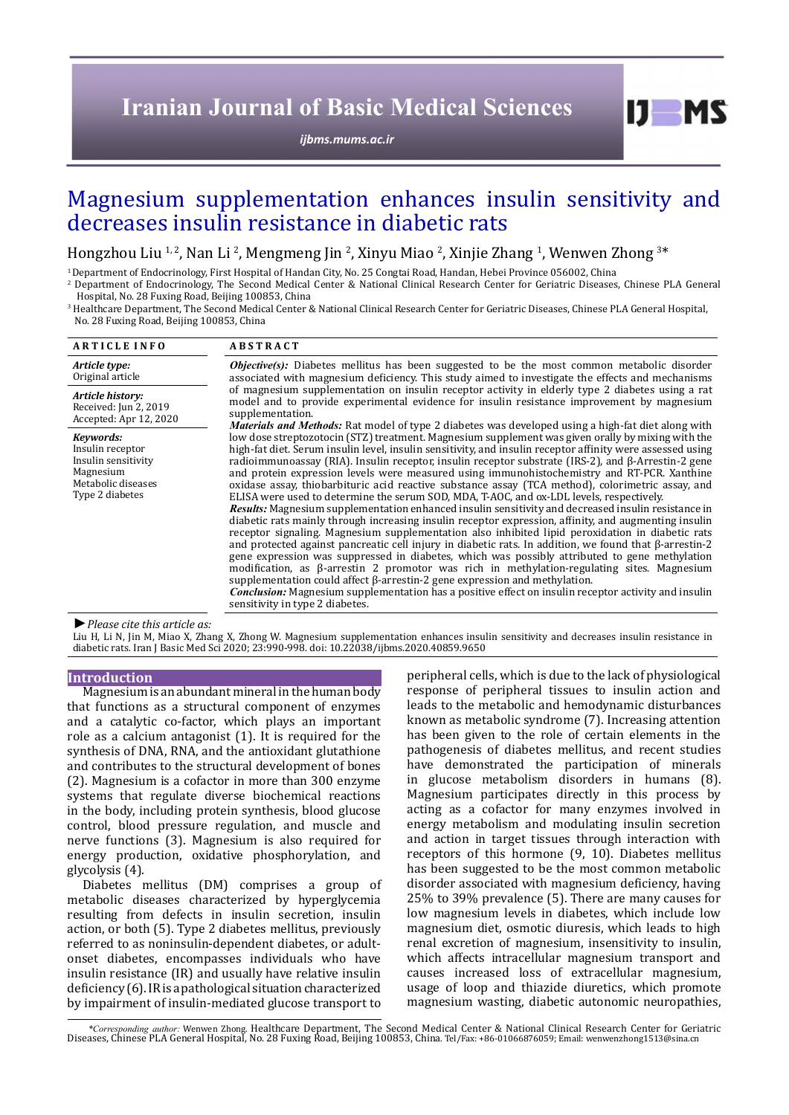# **Iranian Journal of Basic Medical Sciences**

*[ijbms.mums.ac.ir](http://ijbms.mums.ac.ir)*

# Magnesium supplementation enhances insulin sensitivity and decreases insulin resistance in diabetic rats

Hongzhou Liu <sup>1, 2</sup>, Nan Li <sup>2</sup>, Mengmeng Jin <sup>2</sup>, Xinyu Miao <sup>2</sup>, Xinjie Zhang <sup>1</sup>, Wenwen Zhong <sup>3\*</sup>

<sup>1</sup> Department of Endocrinology, First Hospital of Handan City, No. 25 Congtai Road. Handan. Hebei Province 056002. China

2 Department of Endocrinology, The Second Medical Center & National Clinical Research Center for Geriatric Diseases, Chinese PLA General Hospital, No. 28 Fuxing Road, Beijing 100853, China

3 Healthcare Department, The Second Medical Center & National Clinical Research Center for Geriatric Diseases, Chinese PLA General Hospital, No. 28 Fuxing Road, Beijing 100853, China

| <b>ARTICLE INFO</b>                                                                                        | <b>ABSTRACT</b>                                                                                                                                                                                                                                                                                                                                                                                                                                                                                                                                                                                                                                                                                                                                                                                                                                                                                                                                                                                                                                                                                                                                                                                                                                                                                                                                                                                                                                                                                                                                                                                                       |
|------------------------------------------------------------------------------------------------------------|-----------------------------------------------------------------------------------------------------------------------------------------------------------------------------------------------------------------------------------------------------------------------------------------------------------------------------------------------------------------------------------------------------------------------------------------------------------------------------------------------------------------------------------------------------------------------------------------------------------------------------------------------------------------------------------------------------------------------------------------------------------------------------------------------------------------------------------------------------------------------------------------------------------------------------------------------------------------------------------------------------------------------------------------------------------------------------------------------------------------------------------------------------------------------------------------------------------------------------------------------------------------------------------------------------------------------------------------------------------------------------------------------------------------------------------------------------------------------------------------------------------------------------------------------------------------------------------------------------------------------|
| Article type:                                                                                              | <b>Objective(s):</b> Diabetes mellitus has been suggested to be the most common metabolic disorder                                                                                                                                                                                                                                                                                                                                                                                                                                                                                                                                                                                                                                                                                                                                                                                                                                                                                                                                                                                                                                                                                                                                                                                                                                                                                                                                                                                                                                                                                                                    |
| Original article                                                                                           | associated with magnesium deficiency. This study aimed to investigate the effects and mechanisms                                                                                                                                                                                                                                                                                                                                                                                                                                                                                                                                                                                                                                                                                                                                                                                                                                                                                                                                                                                                                                                                                                                                                                                                                                                                                                                                                                                                                                                                                                                      |
| Article history:                                                                                           | of magnesium supplementation on insulin receptor activity in elderly type 2 diabetes using a rat                                                                                                                                                                                                                                                                                                                                                                                                                                                                                                                                                                                                                                                                                                                                                                                                                                                                                                                                                                                                                                                                                                                                                                                                                                                                                                                                                                                                                                                                                                                      |
| Received: Jun 2, 2019                                                                                      | model and to provide experimental evidence for insulin resistance improvement by magnesium                                                                                                                                                                                                                                                                                                                                                                                                                                                                                                                                                                                                                                                                                                                                                                                                                                                                                                                                                                                                                                                                                                                                                                                                                                                                                                                                                                                                                                                                                                                            |
| Accepted: Apr 12, 2020                                                                                     | supplementation.                                                                                                                                                                                                                                                                                                                                                                                                                                                                                                                                                                                                                                                                                                                                                                                                                                                                                                                                                                                                                                                                                                                                                                                                                                                                                                                                                                                                                                                                                                                                                                                                      |
| Kevwords:<br>Insulin receptor<br>Insulin sensitivity<br>Magnesium<br>Metabolic diseases<br>Type 2 diabetes | <i>Materials and Methods:</i> Rat model of type 2 diabetes was developed using a high-fat diet along with<br>low dose streptozotocin (STZ) treatment. Magnesium supplement was given orally by mixing with the<br>high-fat diet. Serum insulin level, insulin sensitivity, and insulin receptor affinity were assessed using<br>radioimmunoassay (RIA). Insulin receptor, insulin receptor substrate (IRS-2), and B-Arrestin-2 gene<br>and protein expression levels were measured using immunohistochemistry and RT-PCR. Xanthine<br>oxidase assay, thiobarbituric acid reactive substance assay (TCA method), colorimetric assay, and<br>ELISA were used to determine the serum SOD, MDA, T-AOC, and ox-LDL levels, respectively.<br><i>Results:</i> Magnesium supplementation enhanced insulin sensitivity and decreased insulin resistance in<br>diabetic rats mainly through increasing insulin receptor expression, affinity, and augmenting insulin<br>receptor signaling. Magnesium supplementation also inhibited lipid peroxidation in diabetic rats<br>and protected against pancreatic cell injury in diabetic rats. In addition, we found that B-arrestin-2<br>gene expression was suppressed in diabetes, which was possibly attributed to gene methylation<br>modification, as $\beta$ -arrestin 2 promotor was rich in methylation-regulating sites. Magnesium<br>supplementation could affect $\beta$ -arrestin-2 gene expression and methylation.<br><b>Conclusion:</b> Magnesium supplementation has a positive effect on insulin receptor activity and insulin<br>sensitivity in type 2 diabetes. |

*►Please cite this article as:*

Liu H, Li N, Jin M, Miao X, Zhang X, Zhong W. Magnesium supplementation enhances insulin sensitivity and decreases insulin resistance in diabetic rats. Iran J Basic Med Sci 2020; 23:990-998. doi: 10.22038/ijbms.2020.40859.9650

# **Introduction**

Magnesium is an abundant mineral in the human body that functions as a structural component of enzymes and a catalytic co-factor, which plays an important role as a calcium antagonist (1). It is required for the synthesis of DNA, RNA, and the antioxidant glutathione and contributes to the structural development of bones (2). Magnesium is a cofactor in more than 300 enzyme systems that regulate diverse biochemical reactions in the body, including protein synthesis, blood glucose control, blood pressure regulation, and muscle and nerve functions (3). Magnesium is also required for energy production, oxidative phosphorylation, and glycolysis (4).

Diabetes mellitus (DM) comprises a group of metabolic diseases characterized by hyperglycemia resulting from defects in insulin secretion, insulin action, or both (5). Type 2 diabetes mellitus, previously referred to as noninsulin-dependent diabetes, or adultonset diabetes, encompasses individuals who have insulin resistance (IR) and usually have relative insulin deficiency (6). IR is a pathological situation characterized by impairment of insulin-mediated glucose transport to

peripheral cells, which is due to the lack of physiological response of peripheral tissues to insulin action and leads to the metabolic and hemodynamic disturbances known as metabolic syndrome (7). Increasing attention has been given to the role of certain elements in the pathogenesis of diabetes mellitus, and recent studies have demonstrated the participation of minerals in glucose metabolism disorders in humans (8). Magnesium participates directly in this process by acting as a cofactor for many enzymes involved in energy metabolism and modulating insulin secretion and action in target tissues through interaction with receptors of this hormone (9, 10). Diabetes mellitus has been suggested to be the most common metabolic disorder associated with magnesium deficiency, having 25% to 39% prevalence (5). There are many causes for low magnesium levels in diabetes, which include low magnesium diet, osmotic diuresis, which leads to high renal excretion of magnesium, insensitivity to insulin, which affects intracellular magnesium transport and causes increased loss of extracellular magnesium, usage of loop and thiazide diuretics, which promote magnesium wasting, diabetic autonomic neuropathies,

 $I$   $I$   $M$   $S$ 

\*Corresponding author: Wenwen Zhong. Healthcare Department, The Second Medical Center & National Clinical Research Center for Geriatric Diseases, Chinese PLA General Hospital, No. 28 Fuxing Road, Beijing 100853, China. Tel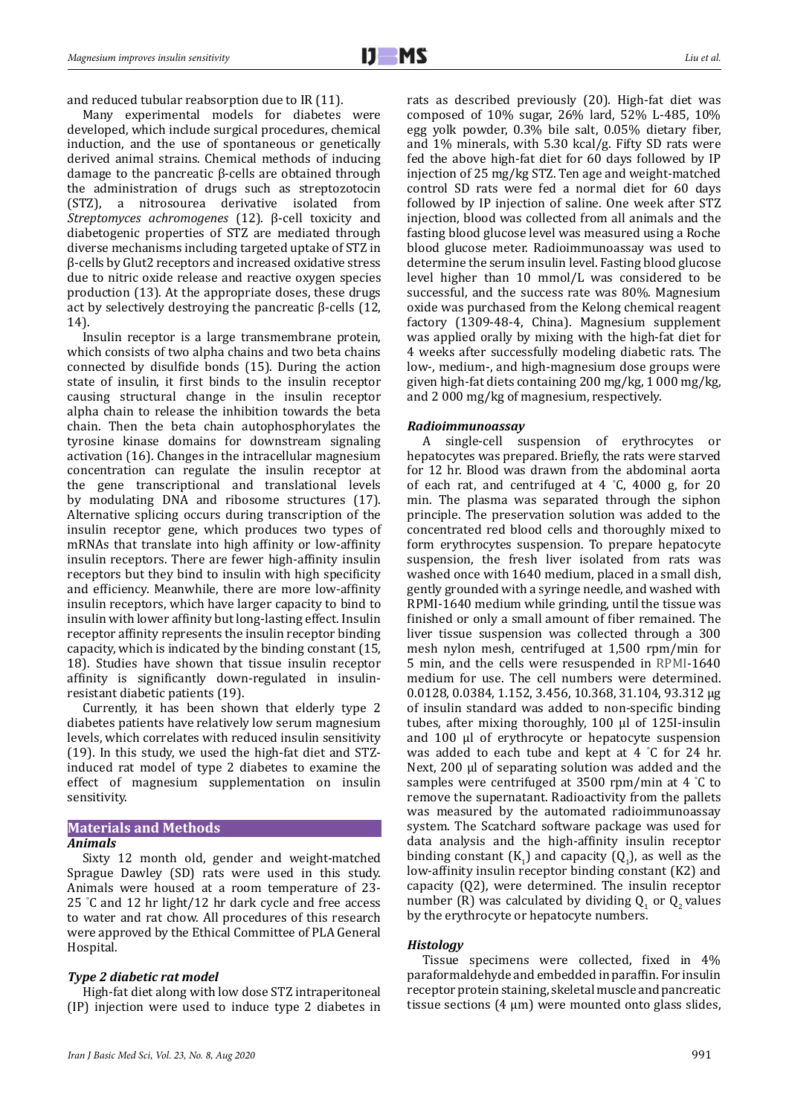and reduced tubular reabsorption due to IR (11).

Many experimental models for diabetes were developed, which include surgical procedures, chemical induction, and the use of spontaneous or genetically derived animal strains. Chemical methods of inducing damage to the pancreatic β-cells are obtained through the administration of drugs such as streptozotocin<br>(STZ), a nitrosourea derivative isolated from (STZ), a nitrosourea derivative isolated *Streptomyces achromogenes* (12). β-cell toxicity and diabetogenic properties of STZ are mediated through diverse mechanisms including targeted uptake of STZ in β-cells by Glut2 receptors and increased oxidative stress due to nitric oxide release and reactive oxygen species production (13). At the appropriate doses, these drugs act by selectively destroying the pancreatic β-cells (12, 14).

Insulin receptor is a large transmembrane protein, which consists of two alpha chains and two beta chains connected by disulfide bonds (15). During the action state of insulin, it first binds to the insulin receptor causing structural change in the insulin receptor alpha chain to release the inhibition towards the beta chain. Then the beta chain autophosphorylates the tyrosine kinase domains for downstream signaling activation (16). Changes in the intracellular magnesium concentration can regulate the insulin receptor at the gene transcriptional and translational levels by modulating DNA and ribosome structures (17). Alternative splicing occurs during transcription of the insulin receptor gene, which produces two types of mRNAs that translate into high affinity or low-affinity insulin receptors. There are fewer high-affinity insulin receptors but they bind to insulin with high specificity and efficiency. Meanwhile, there are more low-affinity insulin receptors, which have larger capacity to bind to insulin with lower affinity but long-lasting effect. Insulin receptor affinity represents the insulin receptor binding capacity, which is indicated by the binding constant (15, 18). Studies have shown that tissue insulin receptor affinity is significantly down-regulated in insulinresistant diabetic patients (19).

Currently, it has been shown that elderly type 2 diabetes patients have relatively low serum magnesium levels, which correlates with reduced insulin sensitivity (19). In this study, we used the high-fat diet and STZinduced rat model of type 2 diabetes to examine the effect of magnesium supplementation on insulin sensitivity.

#### **Materials and Methods** *Animals*

Sixty 12 month old, gender and weight-matched Sprague Dawley (SD) rats were used in this study. Animals were housed at a room temperature of 23- 25 ° C and 12 hr light/12 hr dark cycle and free access to water and rat chow. All procedures of this research were approved by the Ethical Committee of PLA General Hospital.

## *Type 2 diabetic rat model*

High-fat diet along with low dose STZ intraperitoneal (IP) injection were used to induce type 2 diabetes in rats as described previously (20). High-fat diet was composed of 10% sugar, 26% lard, 52% L-485, 10% egg yolk powder, 0.3% bile salt, 0.05% dietary fiber, and 1% minerals, with 5.30 kcal/g. Fifty SD rats were fed the above high-fat diet for 60 days followed by IP injection of 25 mg/kg STZ. Ten age and weight-matched control SD rats were fed a normal diet for 60 days followed by IP injection of saline. One week after STZ injection, blood was collected from all animals and the fasting blood glucose level was measured using a Roche blood glucose meter. Radioimmunoassay was used to determine the serum insulin level. Fasting blood glucose level higher than 10 mmol/L was considered to be successful, and the success rate was 80%. Magnesium oxide was purchased from the Kelong chemical reagent factory (1309-48-4, China). Magnesium supplement was applied orally by mixing with the high-fat diet for 4 weeks after successfully modeling diabetic rats. The low-, medium-, and high-magnesium dose groups were given high-fat diets containing 200 mg/kg, 1 000 mg/kg, and 2 000 mg/kg of magnesium, respectively.

### *Radioimmunoassay*

A single-cell suspension of erythrocytes or hepatocytes was prepared. Briefly, the rats were starved for 12 hr. Blood was drawn from the abdominal aorta of each rat, and centrifuged at 4 ° C, 4000 g, for 20 min. The plasma was separated through the siphon principle. The preservation solution was added to the concentrated red blood cells and thoroughly mixed to form erythrocytes suspension. To prepare hepatocyte suspension, the fresh liver isolated from rats was washed once with 1640 medium, placed in a small dish, gently grounded with a syringe needle, and washed with RPMI-1640 medium while grinding, until the tissue was finished or only a small amount of fiber remained. The liver tissue suspension was collected through a 300 mesh nylon mesh, centrifuged at 1,500 rpm/min for 5 min, and the cells were resuspended in RPMI-1640 medium for use. The cell numbers were determined. 0.0128, 0.0384, 1.152, 3.456, 10.368, 31.104, 93.312 μg of insulin standard was added to non-specific binding tubes, after mixing thoroughly, 100 μl of 125I-insulin and 100 μl of erythrocyte or hepatocyte suspension was added to each tube and kept at 4 ° C for 24 hr. Next, 200 μl of separating solution was added and the samples were centrifuged at 3500 rpm/min at 4 ° C to remove the supernatant. Radioactivity from the pallets was measured by the automated radioimmunoassay system. The Scatchard software package was used for data analysis and the high-affinity insulin receptor binding constant  $(K_1)$  and capacity  $(Q_1)$ , as well as the low-affinity insulin receptor binding constant (K2) and capacity (Q2), were determined. The insulin receptor number (R) was calculated by dividing  $Q_1$  or  $Q_2$  values by the erythrocyte or hepatocyte numbers.

## *Histology*

Tissue specimens were collected, fixed in 4% paraformaldehyde and embedded in paraffin. For insulin receptor protein staining, skeletal muscle and pancreatic tissue sections (4  $\mu$ m) were mounted onto glass slides,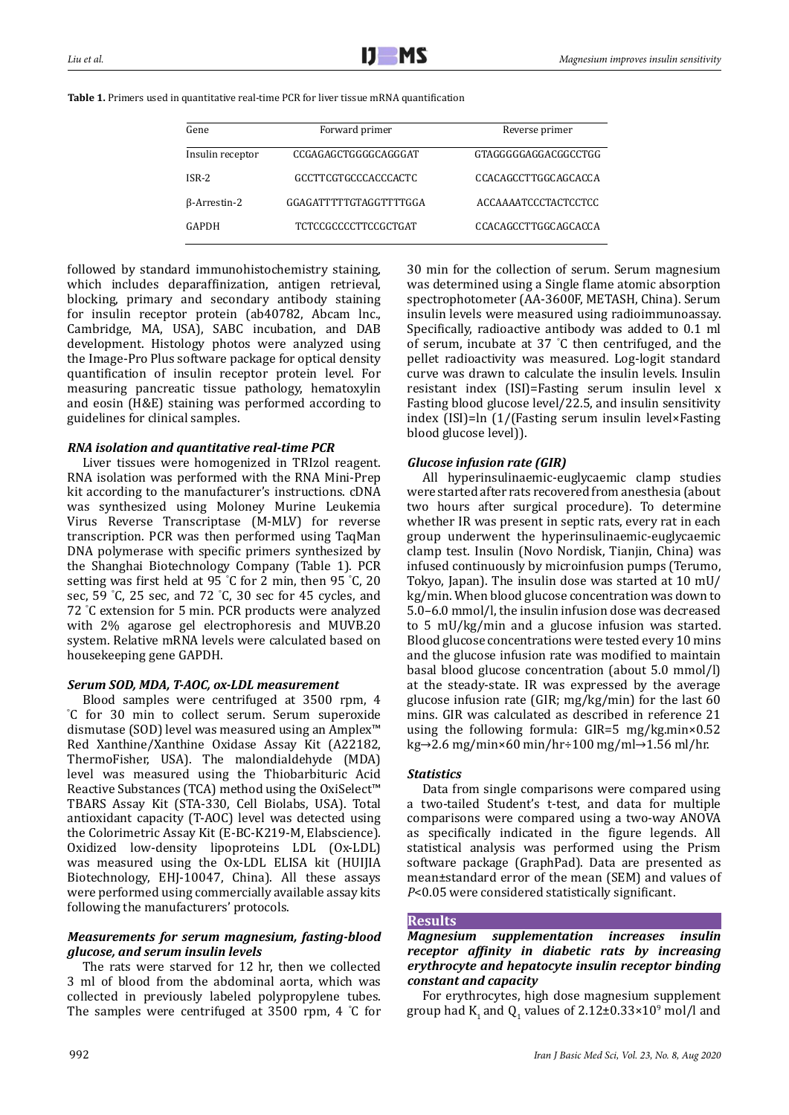| Gene             | Forward primer              | Reverse primer              |  |
|------------------|-----------------------------|-----------------------------|--|
|                  |                             |                             |  |
| Insulin receptor | CCGAGAGCTGGGGCAGGGAT        | GTAGGGGGAGGACGGCCTGG        |  |
|                  |                             |                             |  |
| ISR-2            | GCCTTCGTGCCCACCCACTC        | CCACAGCCTTGGCAGCACCA        |  |
|                  |                             |                             |  |
| β-Arrestin-2     | GGAGATTTTTGTAGGTTTTGGA      | <b>ACCAAAATCCCTACTCCTCC</b> |  |
|                  |                             |                             |  |
| GAPDH            | <b>TCTCCGCCCCTTCCGCTGAT</b> | CCACAGCCTTGGCAGCACCA        |  |
|                  |                             |                             |  |

followed by standard immunohistochemistry staining, which includes deparaffinization, antigen retrieval, blocking, primary and secondary antibody staining for insulin receptor protein (ab40782, Abcam lnc., Cambridge, MA, USA), SABC incubation, and DAB development. Histology photos were analyzed using the Image-Pro Plus software package for optical density quantification of insulin receptor protein level. For measuring pancreatic tissue pathology, hematoxylin and eosin (H&E) staining was performed according to guidelines for clinical samples.

# *RNA isolation and quantitative real-time PCR*

Liver tissues were homogenized in TRIzol reagent. RNA isolation was performed with the RNA Mini-Prep kit according to the manufacturer's instructions. cDNA was synthesized using Moloney Murine Leukemia Virus Reverse Transcriptase (M-MLV) for reverse transcription. PCR was then performed using TaqMan DNA polymerase with specific primers synthesized by the Shanghai Biotechnology Company (Table 1). PCR setting was first held at 95 ° C for 2 min, then 95 ° C, 20 sec, 59 ° C, 25 sec, and 72 ° C, 30 sec for 45 cycles, and 72 ° C extension for 5 min. PCR products were analyzed with 2% agarose gel electrophoresis and MUVB.20 system. Relative mRNA levels were calculated based on housekeeping gene GAPDH.

# *Serum SOD, MDA, T-AOC, ox-LDL measurement*

Blood samples were centrifuged at 3500 rpm, 4 ° C for 30 min to collect serum. Serum superoxide dismutase (SOD) level was measured using an Amplex™ Red Xanthine/Xanthine Oxidase Assay Kit (A22182, ThermoFisher, USA). The malondialdehyde (MDA) level was measured using the Thiobarbituric Acid Reactive Substances (TCA) method using the OxiSelect™ TBARS Assay Kit (STA-330, Cell Biolabs, USA). Total antioxidant capacity (T-AOC) level was detected using the Colorimetric Assay Kit (E-BC-K219-M, Elabscience). Oxidized low-density lipoproteins LDL (Ox-LDL) was measured using the Ox-LDL ELISA kit (HUIJIA Biotechnology, EHJ-10047, China). All these assays were performed using commercially available assay kits following the manufacturers' protocols.

# *Measurements for serum magnesium, fasting-blood glucose, and serum insulin levels*

The rats were starved for 12 hr, then we collected 3 ml of blood from the abdominal aorta, which was collected in previously labeled polypropylene tubes. The samples were centrifuged at 3500 rpm, 4 ° C for 30 min for the collection of serum. Serum magnesium was determined using a Single flame atomic absorption spectrophotometer (AA-3600F, METASH, China). Serum insulin levels were measured using radioimmunoassay. Specifically, radioactive antibody was added to 0.1 ml of serum, incubate at 37 ° C then centrifuged, and the pellet radioactivity was measured. Log-logit standard curve was drawn to calculate the insulin levels. Insulin resistant index (ISI)=Fasting serum insulin level x Fasting blood glucose level/22.5, and insulin sensitivity index (ISI)=ln (1/(Fasting serum insulin level×Fasting blood glucose level)).

# *Glucose infusion rate (GIR)*

All hyperinsulinaemic-euglycaemic clamp studies were started after rats recovered from anesthesia (about two hours after surgical procedure). To determine whether IR was present in septic rats, every rat in each group underwent the hyperinsulinaemic-euglycaemic clamp test. Insulin (Novo Nordisk, Tianjin, China) was infused continuously by microinfusion pumps (Terumo, Tokyo, Japan). The insulin dose was started at 10 mU/ kg/min. When blood glucose concentration was down to 5.0–6.0 mmol/l, the insulin infusion dose was decreased to 5 mU/kg/min and a glucose infusion was started. Blood glucose concentrations were tested every 10 mins and the glucose infusion rate was modified to maintain basal blood glucose concentration (about 5.0 mmol/l) at the steady-state. IR was expressed by the average glucose infusion rate (GIR; mg/kg/min) for the last 60 mins. GIR was calculated as described in reference 21 using the following formula: GIR=5 mg/kg.min×0.52 kg→2.6 mg/min×60 min/hr÷100 mg/ml→1.56 ml/hr.

# *Statistics*

Data from single comparisons were compared using a two-tailed Student's t-test, and data for multiple comparisons were compared using a two-way ANOVA as specifically indicated in the figure legends. All statistical analysis was performed using the Prism software package (GraphPad). Data are presented as mean±standard error of the mean (SEM) and values of *P*<0.05 were considered statistically significant.

## **Results**

*Magnesium supplementation increases insulin receptor affinity in diabetic rats by increasing erythrocyte and hepatocyte insulin receptor binding constant and capacity*

For erythrocytes, high dose magnesium supplement group had  $K_1$  and  $Q_1$  values of 2.12±0.33×10<sup>9</sup> mol/l and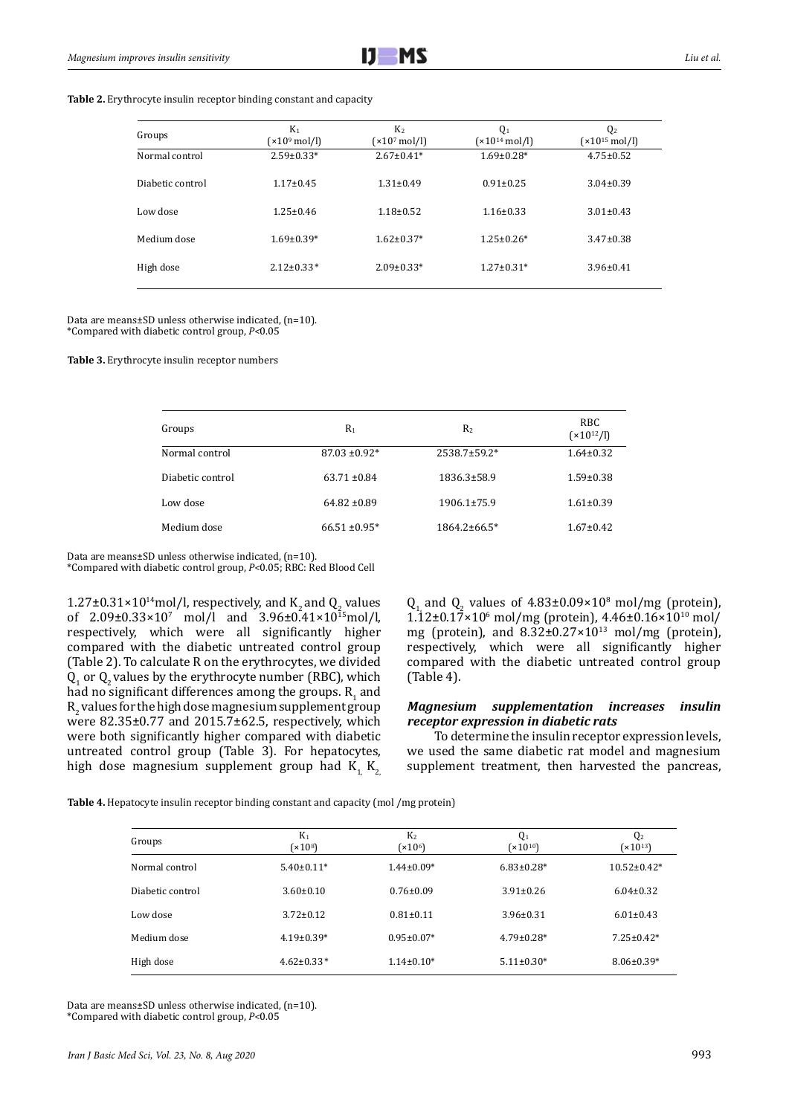| Groups           | $K_1$<br>$(x10^9 \text{ mol/l})$ | K <sub>2</sub><br>$(x10^7 \text{ mol/l})$ | Q <sub>1</sub><br>$(x10^{14} \text{ mol/}l)$ | Q2<br>$(x10^{15} \text{ mol/l})$ |
|------------------|----------------------------------|-------------------------------------------|----------------------------------------------|----------------------------------|
| Normal control   | $2.59 \pm 0.33*$                 | $2.67 \pm 0.41*$                          | $1.69 \pm 0.28*$                             | $4.75 \pm 0.52$                  |
| Diabetic control | $1.17 \pm 0.45$                  | $1.31 \pm 0.49$                           | $0.91 \pm 0.25$                              | $3.04 \pm 0.39$                  |
| Low dose         | $1.25 \pm 0.46$                  | $1.18 \pm 0.52$                           | $1.16 \pm 0.33$                              | $3.01 \pm 0.43$                  |
| Medium dose      | $1.69 \pm 0.39*$                 | $1.62 \pm 0.37*$                          | $1.25 \pm 0.26*$                             | $3.47 \pm 0.38$                  |
| High dose        | $2.12 \pm 0.33*$                 | $2.09 \pm 0.33*$                          | $1.27 \pm 0.31*$                             | $3.96 \pm 0.41$                  |

Data are means±SD unless otherwise indicated, (n=10). \*Compared with diabetic control group, *P<*0.05

**Table 3.** Erythrocyte insulin receptor numbers

| Groups           | $R_1$              | R <sub>2</sub>      | RBC.<br>$(x10^{12}/l)$ |
|------------------|--------------------|---------------------|------------------------|
| Normal control   | $87.03 \pm 0.92^*$ | $2538.7 \pm 59.2^*$ | $1.64 \pm 0.32$        |
| Diabetic control | $63.71 \pm 0.84$   | 1836.3±58.9         | $1.59 \pm 0.38$        |
| Low dose         | $64.82 \pm 0.89$   | $1906.1\pm75.9$     | $1.61 \pm 0.39$        |
| Medium dose      | $66.51 \pm 0.95*$  | $1864.2\pm 66.5*$   | $1.67 \pm 0.42$        |

Data are means±SD unless otherwise indicated, (n=10). \*Compared with diabetic control group, *P<*0.05; RBC: Red Blood Cell t

1.27±0.31×10<sup>14</sup>mol/l, respectively, and K<sub>2</sub> and Q<sub>2</sub> values of  $2.09\pm0.33\times10^7$  mol/l and  $3.96\pm0.41\times10^{15}$ mol/l, respectively, which were all significantly higher compared with the diabetic untreated control group (Table 2). To calculate R on the erythrocytes, we divided  $Q_1$  or  $Q_2$  values by the erythrocyte number (RBC), which had no significant differences among the groups.  $R_1$  and  $R_2$  values for the high dose magnesium supplement group were 82.35±0.77 and 2015.7±62.5, respectively, which were both significantly higher compared with diabetic untreated control group (Table 3). For hepatocytes, high dose magnesium supplement group had  $K_1$ ,  $K_2$ 

 $Q_1$  and  $Q_2$  values of 4.83±0.09×10<sup>8</sup> mol/mg (protein),  $1.12\pm0.17\times10^{6}$  mol/mg (protein),  $4.46\pm0.16\times10^{10}$  mol/ mg (protein), and  $8.32\pm0.27\times10^{13}$  mol/mg (protein). respectively, which were all significantly higher compared with the diabetic untreated control group (Table 4).

## *Magnesium supplementation increases insulin receptor expression in diabetic rats*

 To determine the insulin receptor expression levels, we used the same diabetic rat model and magnesium supplement treatment, then harvested the pancreas,

**Table 4.** Hepatocyte insulin receptor binding constant and capacity (mol /mg protein)

| Groups           | K <sub>1</sub><br>(x10 <sup>8</sup> ) | K <sub>2</sub><br>(x10 <sup>6</sup> ) | Q <sub>1</sub><br>$(x10^{10})$ | Q2<br>$(x10^{13})$ |
|------------------|---------------------------------------|---------------------------------------|--------------------------------|--------------------|
| Normal control   | $5.40\pm0.11*$                        | $1.44 \pm 0.09*$                      | $6.83 \pm 0.28^*$              | $10.52 \pm 0.42*$  |
| Diabetic control | $3.60\pm0.10$                         | $0.76 \pm 0.09$                       | $3.91 \pm 0.26$                | $6.04 \pm 0.32$    |
| Low dose         | $3.72 \pm 0.12$                       | $0.81 \pm 0.11$                       | $3.96 \pm 0.31$                | $6.01 \pm 0.43$    |
| Medium dose      | $4.19 \pm 0.39*$                      | $0.95 \pm 0.07*$                      | $4.79 \pm 0.28$ *              | $7.25 \pm 0.42*$   |
| High dose        | $4.62 \pm 0.33*$                      | $1.14\pm0.10*$                        | $5.11 \pm 0.30*$               | $8.06 \pm 0.39*$   |

Data are means±SD unless otherwise indicated, (n=10). \*Compared with diabetic control group, *P<*0.05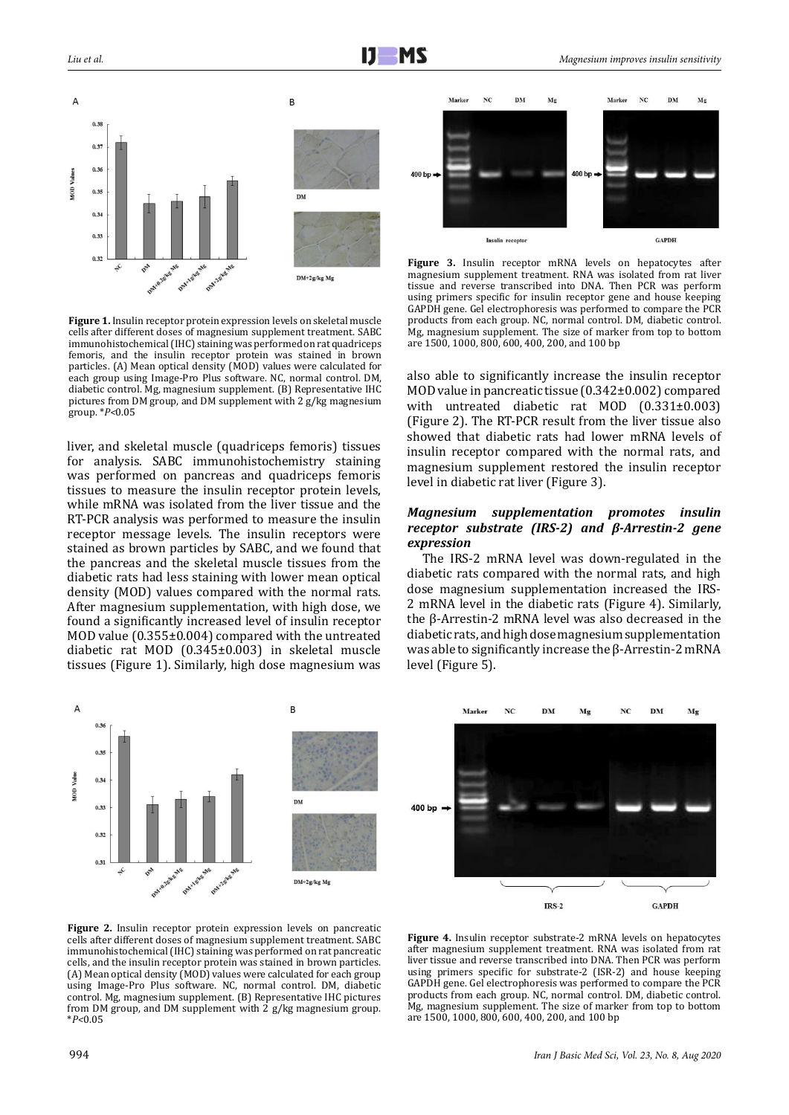



**Figure 3.** Insulin receptor mRNA levels on hepatocytes after magnesium supplement treatment. RNA was isolated from rat liver tissue and reverse transcribed into DNA. Then PCR was perform using primers specific for insulin receptor gene and house keeping GAPDH gene. Gel electrophoresis was performed to compare the PCR products from each group. NC, normal control. DM, diabetic control. Mg, magnesium supplement. The size of marker from top to bottom are 1500, 1000, 800, 600, 400, 200, and 100 bp

**Figure 1.** Insulin receptor protein expression levels on skeletal muscle cells after different doses of magnesium supplement treatment. SABC immunohistochemical (IHC) staining was performed on rat quadriceps femoris, and the insulin receptor protein was stained in brown particles. (A) Mean optical density (MOD) values were calculated for each group using Image-Pro Plus software. NC, normal control. DM, diabetic control. Mg, magnesium supplement. (B) Representative IHC pictures from DM group, and DM supplement with 2 g/kg magnesium group. \**P<*0.05

liver, and skeletal muscle (quadriceps femoris) tissues for analysis. SABC immunohistochemistry staining was performed on pancreas and quadriceps femoris tissues to measure the insulin receptor protein levels, while mRNA was isolated from the liver tissue and the RT-PCR analysis was performed to measure the insulin receptor message levels. The insulin receptors were stained as brown particles by SABC, and we found that the pancreas and the skeletal muscle tissues from the diabetic rats had less staining with lower mean optical density (MOD) values compared with the normal rats. After magnesium supplementation, with high dose, we found a significantly increased level of insulin receptor MOD value (0.355±0.004) compared with the untreated diabetic rat MOD (0.345±0.003) in skeletal muscle tissues (Figure 1). Similarly, high dose magnesium was also able to significantly increase the insulin receptor MOD value in pancreatic tissue (0.342±0.002) compared with untreated diabetic rat MOD (0.331±0.003) (Figure 2). The RT-PCR result from the liver tissue also showed that diabetic rats had lower mRNA levels of insulin receptor compared with the normal rats, and magnesium supplement restored the insulin receptor level in diabetic rat liver (Figure 3).

## *Magnesium supplementation promotes insulin receptor substrate (IRS-2) and β-Arrestin-2 gene expression*

The IRS-2 mRNA level was down-regulated in the diabetic rats compared with the normal rats, and high dose magnesium supplementation increased the IRS-2 mRNA level in the diabetic rats (Figure 4). Similarly, the β-Arrestin-2 mRNA level was also decreased in the diabetic rats, and high dose magnesium supplementation was able to significantly increase the β-Arrestin-2 mRNA level (Figure 5).



**Figure 2.** Insulin receptor protein expression levels on pancreatic cells after different doses of magnesium supplement treatment. SABC immunohistochemical (IHC) staining was performed on rat pancreatic cells, and the insulin receptor protein was stained in brown particles. (A) Mean optical density (MOD) values were calculated for each group using Image-Pro Plus software. NC, normal control. DM, diabetic control. Mg, magnesium supplement. (B) Representative IHC pictures from DM group, and DM supplement with 2 g/kg magnesium group. \**P<*0.05

**Figure 4.** Insulin receptor substrate-2 mRNA levels on hepatocytes after magnesium supplement treatment. RNA was isolated from rat liver tissue and reverse transcribed into DNA. Then PCR was perform using primers specific for substrate-2 (ISR-2) and house keeping GAPDH gene. Gel electrophoresis was performed to compare the PCR products from each group. NC, normal control. DM, diabetic control. Mg, magnesium supplement. The size of marker from top to bottom are 1500, 1000, 800, 600, 400, 200, and 100 bp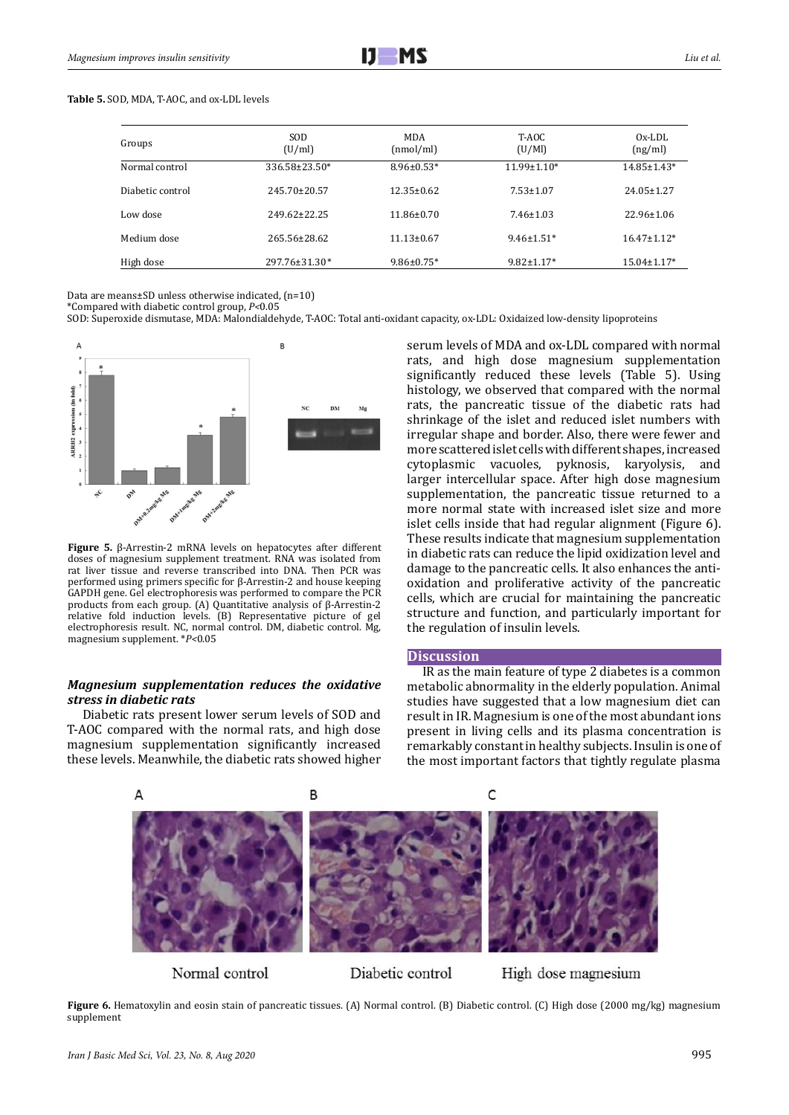#### **Table 5.** SOD, MDA, T-AOC, and ox-LDL levels

| Groups           | <b>SOD</b><br>(U/ml) | <b>MDA</b><br>(nmol/ml) | T-AOC<br>(U/M)    | $Ox-LDI$<br>(ng/ml) |
|------------------|----------------------|-------------------------|-------------------|---------------------|
| Normal control   | 336.58±23.50*        | $8.96 \pm 0.53*$        | $11.99 \pm 1.10*$ | 14.85±1.43*         |
| Diabetic control | $245.70 \pm 20.57$   | $12.35 \pm 0.62$        | $7.53 \pm 1.07$   | $24.05 \pm 1.27$    |
| Low dose         | 249.62±22.25         | $11.86 \pm 0.70$        | $7.46 \pm 1.03$   | $22.96 \pm 1.06$    |
| Medium dose      | 265.56±28.62         | $11.13 \pm 0.67$        | $9.46 \pm 1.51*$  | $16.47 \pm 1.12*$   |
| High dose        | 297.76±31.30*        | $9.86 \pm 0.75$ *       | $9.82 \pm 1.17*$  | $15.04 \pm 1.17*$   |

Data are means±SD unless otherwise indicated, (n=10)

\*Compared with diabetic control group, *P<*0.05

SOD: Superoxide dismutase, MDA: Malondialdehyde, T-AOC: Total anti-oxidant capacity, ox-LDL: Oxidaized low-density lipoproteins



**Figure 5.** β-Arrestin-2 mRNA levels on hepatocytes after different doses of magnesium supplement treatment. RNA was isolated from rat liver tissue and reverse transcribed into DNA. Then PCR was performed using primers specific for β-Arrestin-2 and house keeping GAPDH gene. Gel electrophoresis was performed to compare the PCR products from each group. (A) Quantitative analysis of β-Arrestin-2 relative fold induction levels. (B) Representative picture of gel electrophoresis result. NC, normal control. DM, diabetic control. Mg, magnesium supplement. \**P<*0.05

### *Magnesium supplementation reduces the oxidative stress in diabetic rats*

Diabetic rats present lower serum levels of SOD and T-AOC compared with the normal rats, and high dose magnesium supplementation significantly increased these levels. Meanwhile, the diabetic rats showed higher

serum levels of MDA and ox-LDL compared with normal rats, and high dose magnesium supplementation significantly reduced these levels (Table 5). Using histology, we observed that compared with the normal rats, the pancreatic tissue of the diabetic rats had shrinkage of the islet and reduced islet numbers with irregular shape and border. Also, there were fewer and more scattered islet cells with different shapes, increased cytoplasmic vacuoles, pyknosis, karyolysis, and larger intercellular space. After high dose magnesium supplementation, the pancreatic tissue returned to a more normal state with increased islet size and more islet cells inside that had regular alignment (Figure 6). These results indicate that magnesium supplementation in diabetic rats can reduce the lipid oxidization level and damage to the pancreatic cells. It also enhances the antioxidation and proliferative activity of the pancreatic cells, which are crucial for maintaining the pancreatic structure and function, and particularly important for the regulation of insulin levels.

#### **Discussion**

IR as the main feature of type 2 diabetes is a common metabolic abnormality in the elderly population. Animal studies have suggested that a low magnesium diet can result in IR. Magnesium is one of the most abundant ions present in living cells and its plasma concentration is remarkably constant in healthy subjects. Insulin is one of the most important factors that tightly regulate plasma



Normal control

Diabetic control

High dose magnesium

**Figure 6.** Hematoxylin and eosin stain of pancreatic tissues. (A) Normal control. (B) Diabetic control. (C) High dose (2000 mg/kg) magnesium supplement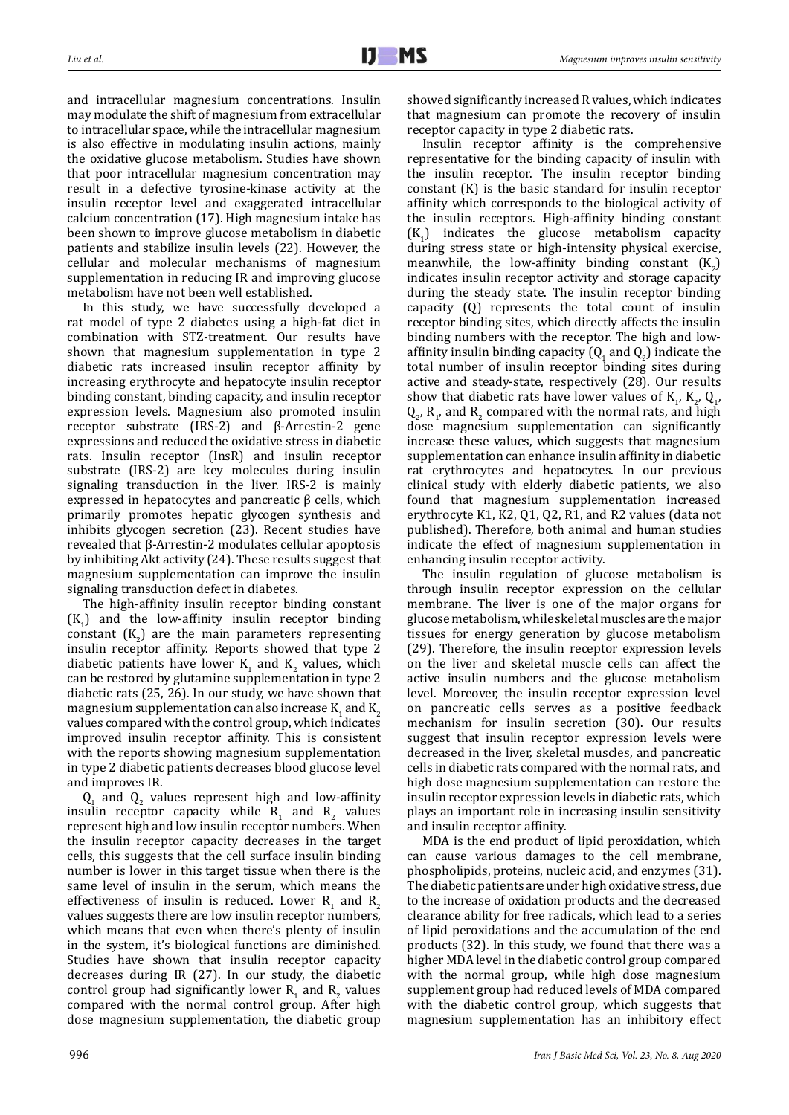and intracellular magnesium concentrations. Insulin may modulate the shift of magnesium from extracellular to intracellular space, while the intracellular magnesium is also effective in modulating insulin actions, mainly the oxidative glucose metabolism. Studies have shown that poor intracellular magnesium concentration may result in a defective tyrosine-kinase activity at the insulin receptor level and exaggerated intracellular calcium concentration (17). High magnesium intake has been shown to improve glucose metabolism in diabetic patients and stabilize insulin levels (22). However, the cellular and molecular mechanisms of magnesium supplementation in reducing IR and improving glucose metabolism have not been well established.

In this study, we have successfully developed a rat model of type 2 diabetes using a high-fat diet in combination with STZ-treatment. Our results have shown that magnesium supplementation in type 2 diabetic rats increased insulin receptor affinity by increasing erythrocyte and hepatocyte insulin receptor binding constant, binding capacity, and insulin receptor expression levels. Magnesium also promoted insulin receptor substrate (IRS-2) and β-Arrestin-2 gene expressions and reduced the oxidative stress in diabetic rats. Insulin receptor (InsR) and insulin receptor substrate (IRS-2) are key molecules during insulin signaling transduction in the liver. IRS-2 is mainly expressed in hepatocytes and pancreatic β cells, which primarily promotes hepatic glycogen synthesis and inhibits glycogen secretion (23). Recent studies have revealed that β-Arrestin-2 modulates cellular apoptosis by inhibiting Akt activity (24). These results suggest that magnesium supplementation can improve the insulin signaling transduction defect in diabetes.

The high-affinity insulin receptor binding constant  $(K_1)$  and the low-affinity insulin receptor binding constant  $(K_2)$  are the main parameters representing insulin receptor affinity. Reports showed that type 2 diabetic patients have lower  $K_1$  and  $K_2$  values, which can be restored by glutamine supplementation in type 2 diabetic rats (25, 26). In our study, we have shown that magnesium supplementation can also increase  $K_1$  and  $K_2$ values compared with the control group, which indicates improved insulin receptor affinity. This is consistent with the reports showing magnesium supplementation in type 2 diabetic patients decreases blood glucose level and improves IR.

 $Q_1$  and  $Q_2$  values represent high and low-affinity insulin receptor capacity while  $R_1$  and  $R_2$  values represent high and low insulin receptor numbers. When the insulin receptor capacity decreases in the target cells, this suggests that the cell surface insulin binding number is lower in this target tissue when there is the same level of insulin in the serum, which means the effectiveness of insulin is reduced. Lower  $R_1$  and  $R_2$ values suggests there are low insulin receptor numbers, which means that even when there's plenty of insulin in the system, it's biological functions are diminished. Studies have shown that insulin receptor capacity decreases during IR (27). In our study, the diabetic control group had significantly lower  $R_1$  and  $R_2$  values compared with the normal control group. After high dose magnesium supplementation, the diabetic group

showed significantly increased R values, which indicates that magnesium can promote the recovery of insulin receptor capacity in type 2 diabetic rats.

Insulin receptor affinity is the comprehensive representative for the binding capacity of insulin with the insulin receptor. The insulin receptor binding constant (K) is the basic standard for insulin receptor affinity which corresponds to the biological activity of the insulin receptors. High-affinity binding constant  $(K_1)$  indicates the glucose metabolism capacity during stress state or high-intensity physical exercise, meanwhile, the low-affinity binding constant  $(K_2)$ indicates insulin receptor activity and storage capacity during the steady state. The insulin receptor binding capacity (Q) represents the total count of insulin receptor binding sites, which directly affects the insulin binding numbers with the receptor. The high and lowaffinity insulin binding capacity  $(Q_1$  and  $Q_2)$  indicate the total number of insulin receptor binding sites during active and steady-state, respectively (28). Our results show that diabetic rats have lower values of  $K_1$ ,  $K_2$ ,  $Q_1$ ,  $Q_2$ ,  $R_1$ , and  $R_2$  compared with the normal rats, and high dose magnesium supplementation can significantly increase these values, which suggests that magnesium supplementation can enhance insulin affinity in diabetic rat erythrocytes and hepatocytes. In our previous clinical study with elderly diabetic patients, we also found that magnesium supplementation increased erythrocyte K1, K2, Q1, Q2, R1, and R2 values (data not published). Therefore, both animal and human studies indicate the effect of magnesium supplementation in enhancing insulin receptor activity.

The insulin regulation of glucose metabolism is through insulin receptor expression on the cellular membrane. The liver is one of the major organs for glucose metabolism, while skeletal muscles are the major tissues for energy generation by glucose metabolism (29). Therefore, the insulin receptor expression levels on the liver and skeletal muscle cells can affect the active insulin numbers and the glucose metabolism level. Moreover, the insulin receptor expression level on pancreatic cells serves as a positive feedback mechanism for insulin secretion (30). Our results suggest that insulin receptor expression levels were decreased in the liver, skeletal muscles, and pancreatic cells in diabetic rats compared with the normal rats, and high dose magnesium supplementation can restore the insulin receptor expression levels in diabetic rats, which plays an important role in increasing insulin sensitivity and insulin receptor affinity.

MDA is the end product of lipid peroxidation, which can cause various damages to the cell membrane, phospholipids, proteins, nucleic acid, and enzymes (31). The diabetic patients are under high oxidative stress, due to the increase of oxidation products and the decreased clearance ability for free radicals, which lead to a series of lipid peroxidations and the accumulation of the end products (32). In this study, we found that there was a higher MDA level in the diabetic control group compared with the normal group, while high dose magnesium supplement group had reduced levels of MDA compared with the diabetic control group, which suggests that magnesium supplementation has an inhibitory effect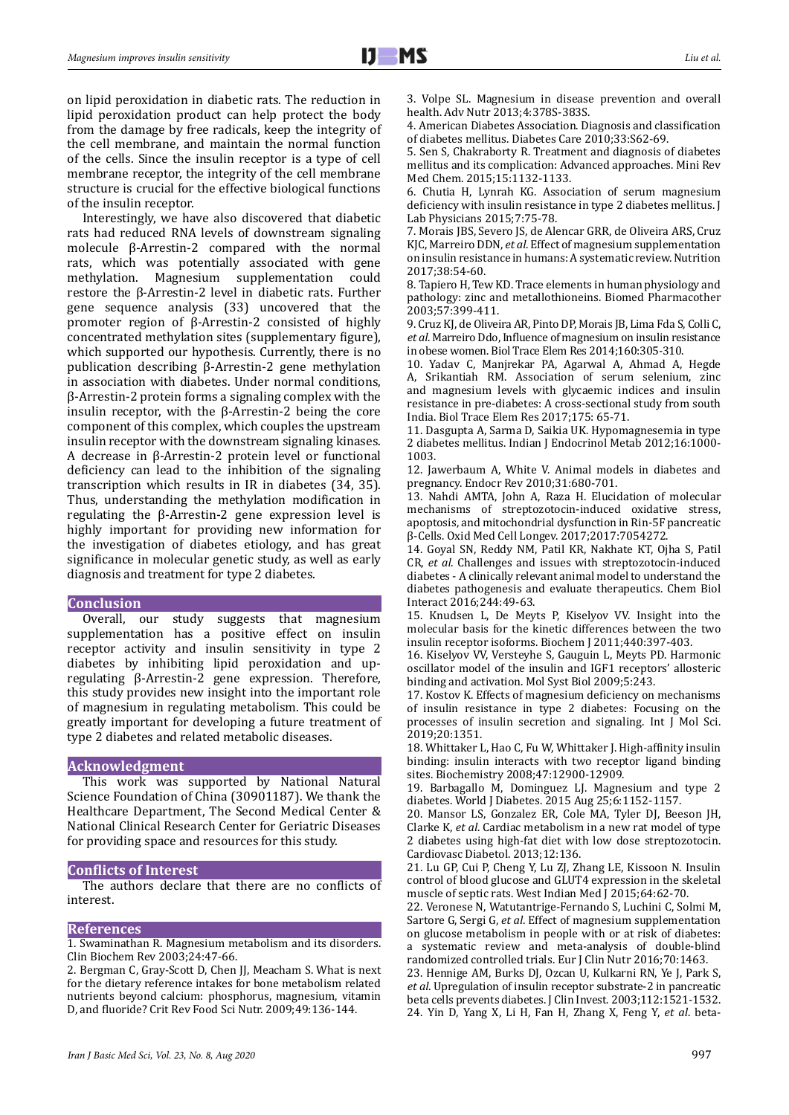on lipid peroxidation in diabetic rats. The reduction in lipid peroxidation product can help protect the body from the damage by free radicals, keep the integrity of the cell membrane, and maintain the normal function of the cells. Since the insulin receptor is a type of cell membrane receptor, the integrity of the cell membrane structure is crucial for the effective biological functions of the insulin receptor.

Interestingly, we have also discovered that diabetic rats had reduced RNA levels of downstream signaling molecule β-Arrestin-2 compared with the normal rats, which was potentially associated with gene<br>methylation. Magnesium supplementation could Magnesium supplementation restore the β-Arrestin-2 level in diabetic rats. Further gene sequence analysis (33) uncovered that the promoter region of β-Arrestin-2 consisted of highly concentrated methylation sites (supplementary figure), which supported our hypothesis. Currently, there is no publication describing β-Arrestin-2 gene methylation in association with diabetes. Under normal conditions, β-Arrestin-2 protein forms a signaling complex with the insulin receptor, with the β-Arrestin-2 being the core component of this complex, which couples the upstream insulin receptor with the downstream signaling kinases. A decrease in β-Arrestin-2 protein level or functional deficiency can lead to the inhibition of the signaling transcription which results in IR in diabetes (34, 35). Thus, understanding the methylation modification in regulating the β-Arrestin-2 gene expression level is highly important for providing new information for the investigation of diabetes etiology, and has great significance in molecular genetic study, as well as early diagnosis and treatment for type 2 diabetes.

#### **Conclusion**

Overall, our study suggests that magnesium supplementation has a positive effect on insulin receptor activity and insulin sensitivity in type 2 diabetes by inhibiting lipid peroxidation and upregulating β-Arrestin-2 gene expression. Therefore, this study provides new insight into the important role of magnesium in regulating metabolism. This could be greatly important for developing a future treatment of type 2 diabetes and related metabolic diseases.

## **Acknowledgment**

This work was supported by National Natural Science Foundation of China (30901187). We thank the Healthcare Department, The Second Medical Center & National Clinical Research Center for Geriatric Diseases for providing space and resources for this study.

#### **Conflicts of Interest**

The authors declare that there are no conflicts of interest.

### **References**

1. Swaminathan R. Magnesium metabolism and its disorders. Clin Biochem Rev 2003;24:47-66.

2. Bergman C, Gray-Scott D, Chen JJ, Meacham S. What is next for the dietary reference intakes for bone metabolism related nutrients beyond calcium: phosphorus, magnesium, vitamin D, and fluoride? Crit Rev Food Sci Nutr. 2009;49:136-144.

4. American Diabetes Association. Diagnosis and classification of diabetes mellitus. Diabetes Care 2010;33:S62-69.

5. Sen S, Chakraborty R. Treatment and diagnosis of diabetes mellitus and its complication: Advanced approaches. Mini Rev Med Chem. 2015;15:1132-1133.

6. Chutia H, Lynrah KG. Association of serum magnesium deficiency with insulin resistance in type 2 diabetes mellitus. J Lab Physicians 2015;7:75-78.

7. Morais JBS, Severo JS, de Alencar GRR, de Oliveira ARS, Cruz KJC, Marreiro DDN, *et al*. Effect of magnesium supplementation on insulin resistance in humans: A systematic review. Nutrition 2017;38:54-60.

8. Tapiero H, Tew KD. Trace elements in human physiology and pathology: zinc and metallothioneins. Biomed Pharmacother 2003;57:399-411.

9. Cruz KJ, de Oliveira AR, Pinto DP, Morais JB, Lima Fda S, Colli C, *et al*. Marreiro Ddo, Influence of magnesium on insulin resistance in obese women. Biol Trace Elem Res 2014;160:305-310.

10. Yadav C, Manjrekar PA, Agarwal A, Ahmad A, Hegde A, Srikantiah RM. Association of serum selenium, zinc and magnesium levels with glycaemic indices and insulin resistance in pre-diabetes: A cross-sectional study from south India. Biol Trace Elem Res 2017;175: 65-71.

11. Dasgupta A, Sarma D, Saikia UK. Hypomagnesemia in type 2 diabetes mellitus. Indian J Endocrinol Metab 2012;16:1000- 1003.

12. Jawerbaum A, White V. Animal models in diabetes and pregnancy. Endocr Rev 2010;31:680-701.

13. Nahdi AMTA, John A, Raza H. Elucidation of molecular mechanisms of streptozotocin-induced oxidative stress, apoptosis, and mitochondrial dysfunction in Rin-5F pancreatic β-Cells. Oxid Med Cell Longev. 2017;2017:7054272.

14. Goyal SN, Reddy NM, Patil KR, Nakhate KT, Ojha S, Patil CR, *et al*. Challenges and issues with streptozotocin-induced diabetes - A clinically relevant animal model to understand the diabetes pathogenesis and evaluate therapeutics. Chem Biol Interact 2016;244:49-63.

15. Knudsen L, De Meyts P, Kiselyov VV. Insight into the molecular basis for the kinetic differences between the two insulin receptor isoforms. Biochem J 2011;440:397-403.

16. Kiselyov VV, Versteyhe S, Gauguin L, Meyts PD. Harmonic oscillator model of the insulin and IGF1 receptors' allosteric binding and activation. Mol Syst Biol 2009;5:243.

17. Kostov K. Effects of magnesium deficiency on mechanisms of insulin resistance in type 2 diabetes: Focusing on the processes of insulin secretion and signaling. Int J Mol Sci. 2019;20:1351.

18. Whittaker L, Hao C, Fu W, Whittaker J. High-affinity insulin binding: insulin interacts with two receptor ligand binding sites. Biochemistry 2008;47:12900-12909.

19. Barbagallo M, Dominguez LJ. Magnesium and type 2 diabetes. World J Diabetes. 2015 Aug 25;6:1152-1157.

20. Mansor LS, Gonzalez ER, Cole MA, Tyler DJ, Beeson JH, Clarke K, *et al*. Cardiac metabolism in a new rat model of type 2 diabetes using high-fat diet with low dose streptozotocin. Cardiovasc Diabetol. 2013;12:136.

21. Lu GP, Cui P, Cheng Y, Lu ZJ, Zhang LE, Kissoon N. Insulin control of blood glucose and GLUT4 expression in the skeletal muscle of septic rats. West Indian Med J 2015;64:62-70.

22. Veronese N, Watutantrige-Fernando S, Luchini C, Solmi M, Sartore G, Sergi G, *et al*. Effect of magnesium supplementation on glucose metabolism in people with or at risk of diabetes: a systematic review and meta-analysis of double-blind randomized controlled trials. Eur J Clin Nutr 2016;70:1463.

23. Hennige AM, Burks DJ, Ozcan U, Kulkarni RN, Ye J, Park S, *et al*. Upregulation of insulin receptor substrate-2 in pancreatic beta cells prevents diabetes. J Clin Invest. 2003;112:1521-1532. 24. Yin D, Yang X, Li H, Fan H, Zhang X, Feng Y, *et al*. beta